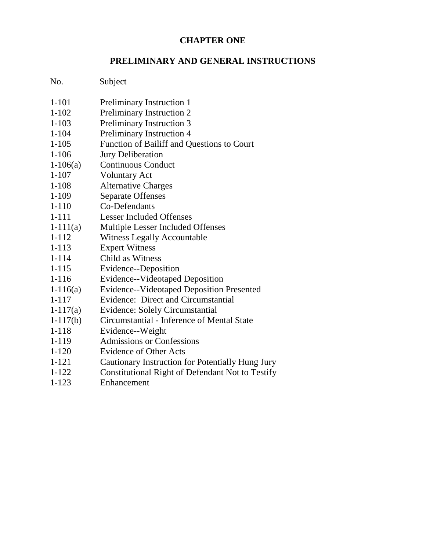### **CHAPTER ONE**

### **PRELIMINARY AND GENERAL INSTRUCTIONS**

### No. Subject

| Preliminary Instruction 1                        |
|--------------------------------------------------|
| Preliminary Instruction 2                        |
| Preliminary Instruction 3                        |
| Preliminary Instruction 4                        |
| Function of Bailiff and Questions to Court       |
| <b>Jury Deliberation</b>                         |
| <b>Continuous Conduct</b>                        |
| <b>Voluntary Act</b>                             |
| <b>Alternative Charges</b>                       |
| <b>Separate Offenses</b>                         |
| Co-Defendants                                    |
| <b>Lesser Included Offenses</b>                  |
| <b>Multiple Lesser Included Offenses</b>         |
| <b>Witness Legally Accountable</b>               |
| <b>Expert Witness</b>                            |
| Child as Witness                                 |
| Evidence--Deposition                             |
| Evidence--Videotaped Deposition                  |
| <b>Evidence--Videotaped Deposition Presented</b> |
| Evidence: Direct and Circumstantial              |
| <b>Evidence: Solely Circumstantial</b>           |
| Circumstantial - Inference of Mental State       |
| Evidence--Weight                                 |
| <b>Admissions or Confessions</b>                 |
| <b>Evidence of Other Acts</b>                    |
| Cautionary Instruction for Potentially Hung Jury |
| Constitutional Right of Defendant Not to Testify |
|                                                  |

1-123 Enhancement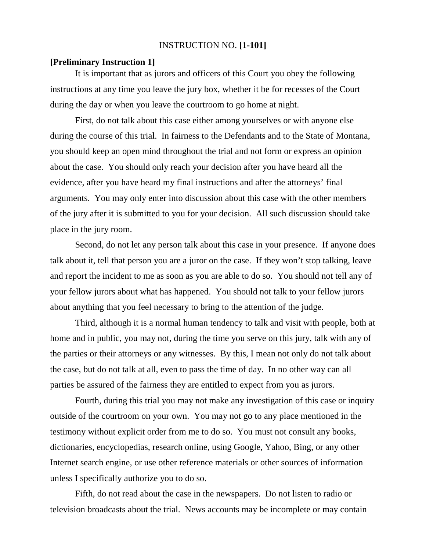### INSTRUCTION NO. **[1-101]**

#### **[Preliminary Instruction 1]**

It is important that as jurors and officers of this Court you obey the following instructions at any time you leave the jury box, whether it be for recesses of the Court during the day or when you leave the courtroom to go home at night.

First, do not talk about this case either among yourselves or with anyone else during the course of this trial. In fairness to the Defendants and to the State of Montana, you should keep an open mind throughout the trial and not form or express an opinion about the case. You should only reach your decision after you have heard all the evidence, after you have heard my final instructions and after the attorneys' final arguments. You may only enter into discussion about this case with the other members of the jury after it is submitted to you for your decision. All such discussion should take place in the jury room.

Second, do not let any person talk about this case in your presence. If anyone does talk about it, tell that person you are a juror on the case. If they won't stop talking, leave and report the incident to me as soon as you are able to do so. You should not tell any of your fellow jurors about what has happened. You should not talk to your fellow jurors about anything that you feel necessary to bring to the attention of the judge.

Third, although it is a normal human tendency to talk and visit with people, both at home and in public, you may not, during the time you serve on this jury, talk with any of the parties or their attorneys or any witnesses. By this, I mean not only do not talk about the case, but do not talk at all, even to pass the time of day. In no other way can all parties be assured of the fairness they are entitled to expect from you as jurors.

Fourth, during this trial you may not make any investigation of this case or inquiry outside of the courtroom on your own. You may not go to any place mentioned in the testimony without explicit order from me to do so. You must not consult any books, dictionaries, encyclopedias, research online, using Google, Yahoo, Bing, or any other Internet search engine, or use other reference materials or other sources of information unless I specifically authorize you to do so.

Fifth, do not read about the case in the newspapers. Do not listen to radio or television broadcasts about the trial. News accounts may be incomplete or may contain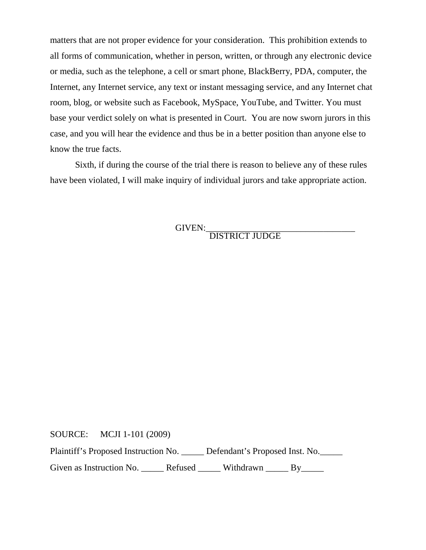matters that are not proper evidence for your consideration. This prohibition extends to all forms of communication, whether in person, written, or through any electronic device or media, such as the telephone, a cell or smart phone, BlackBerry, PDA, computer, the Internet, any Internet service, any text or instant messaging service, and any Internet chat room, blog, or website such as Facebook, MySpace, YouTube, and Twitter. You must base your verdict solely on what is presented in Court. You are now sworn jurors in this case, and you will hear the evidence and thus be in a better position than anyone else to know the true facts.

Sixth, if during the course of the trial there is reason to believe any of these rules have been violated, I will make inquiry of individual jurors and take appropriate action.

GIVEN:\_\_\_\_\_\_\_\_\_\_\_\_\_\_\_\_\_\_\_\_\_\_\_\_\_\_\_\_\_\_\_\_\_

DISTRICT JUDGE

SOURCE: MCJI 1-101 (2009)

Plaintiff's Proposed Instruction No. \_\_\_\_\_ Defendant's Proposed Inst. No.\_\_\_\_\_

Given as Instruction No. \_\_\_\_\_\_ Refused \_\_\_\_\_\_ Withdrawn \_\_\_\_\_ By\_\_\_\_\_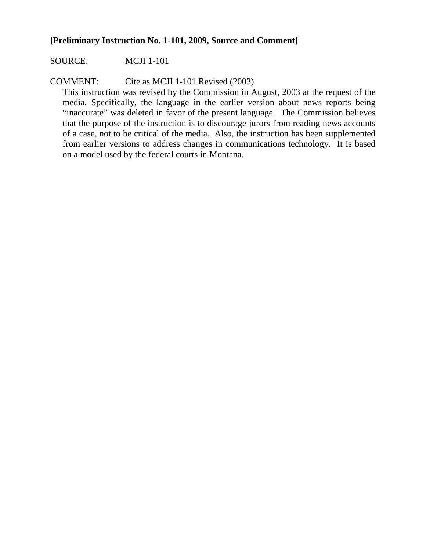### **[Preliminary Instruction No. 1-101, 2009, Source and Comment]**

### SOURCE: MCJI 1-101

COMMENT: Cite as MCJI 1-101 Revised (2003)

This instruction was revised by the Commission in August, 2003 at the request of the media. Specifically, the language in the earlier version about news reports being "inaccurate" was deleted in favor of the present language. The Commission believes that the purpose of the instruction is to discourage jurors from reading news accounts of a case, not to be critical of the media. Also, the instruction has been supplemented from earlier versions to address changes in communications technology. It is based on a model used by the federal courts in Montana.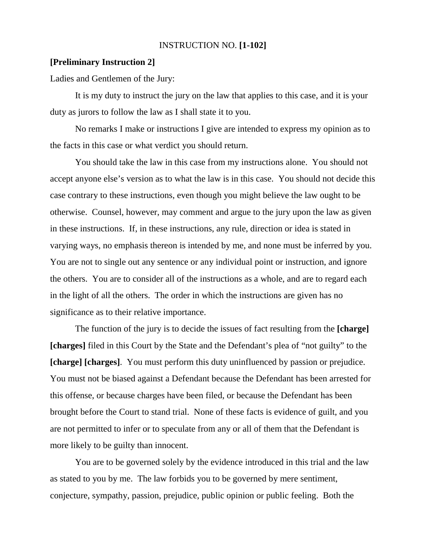### INSTRUCTION NO. **[1-102]**

#### **[Preliminary Instruction 2]**

Ladies and Gentlemen of the Jury:

It is my duty to instruct the jury on the law that applies to this case, and it is your duty as jurors to follow the law as I shall state it to you.

No remarks I make or instructions I give are intended to express my opinion as to the facts in this case or what verdict you should return.

You should take the law in this case from my instructions alone. You should not accept anyone else's version as to what the law is in this case. You should not decide this case contrary to these instructions, even though you might believe the law ought to be otherwise. Counsel, however, may comment and argue to the jury upon the law as given in these instructions. If, in these instructions, any rule, direction or idea is stated in varying ways, no emphasis thereon is intended by me, and none must be inferred by you. You are not to single out any sentence or any individual point or instruction, and ignore the others. You are to consider all of the instructions as a whole, and are to regard each in the light of all the others. The order in which the instructions are given has no significance as to their relative importance.

The function of the jury is to decide the issues of fact resulting from the **[charge] [charges]** filed in this Court by the State and the Defendant's plea of "not guilty" to the **[charge] [charges]**. You must perform this duty uninfluenced by passion or prejudice. You must not be biased against a Defendant because the Defendant has been arrested for this offense, or because charges have been filed, or because the Defendant has been brought before the Court to stand trial. None of these facts is evidence of guilt, and you are not permitted to infer or to speculate from any or all of them that the Defendant is more likely to be guilty than innocent.

You are to be governed solely by the evidence introduced in this trial and the law as stated to you by me. The law forbids you to be governed by mere sentiment, conjecture, sympathy, passion, prejudice, public opinion or public feeling. Both the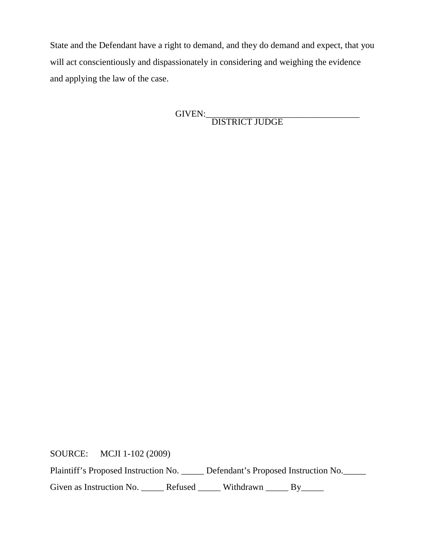State and the Defendant have a right to demand, and they do demand and expect, that you will act conscientiously and dispassionately in considering and weighing the evidence and applying the law of the case.

> GIVEN:\_\_\_\_\_\_\_\_\_\_\_\_\_\_\_\_\_\_\_\_\_\_\_\_\_\_\_\_\_\_\_\_\_\_ DISTRICT JUDGE

SOURCE: MCJI 1-102 (2009)

Plaintiff's Proposed Instruction No. \_\_\_\_\_ Defendant's Proposed Instruction No. \_\_\_\_

Given as Instruction No. \_\_\_\_\_\_ Refused \_\_\_\_\_\_ Withdrawn \_\_\_\_\_ By\_\_\_\_\_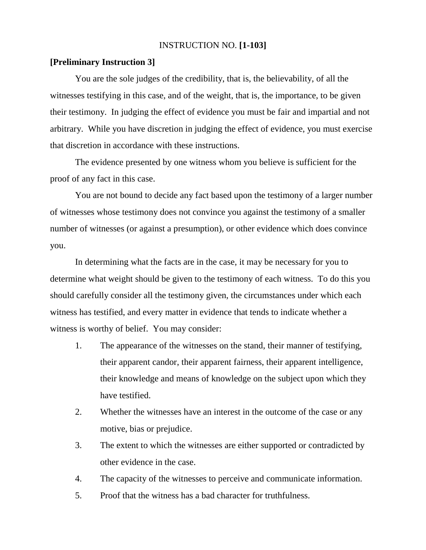### INSTRUCTION NO. **[1-103]**

#### **[Preliminary Instruction 3]**

You are the sole judges of the credibility, that is, the believability, of all the witnesses testifying in this case, and of the weight, that is, the importance, to be given their testimony. In judging the effect of evidence you must be fair and impartial and not arbitrary. While you have discretion in judging the effect of evidence, you must exercise that discretion in accordance with these instructions.

The evidence presented by one witness whom you believe is sufficient for the proof of any fact in this case.

You are not bound to decide any fact based upon the testimony of a larger number of witnesses whose testimony does not convince you against the testimony of a smaller number of witnesses (or against a presumption), or other evidence which does convince you.

In determining what the facts are in the case, it may be necessary for you to determine what weight should be given to the testimony of each witness. To do this you should carefully consider all the testimony given, the circumstances under which each witness has testified, and every matter in evidence that tends to indicate whether a witness is worthy of belief. You may consider:

- 1. The appearance of the witnesses on the stand, their manner of testifying, their apparent candor, their apparent fairness, their apparent intelligence, their knowledge and means of knowledge on the subject upon which they have testified.
- 2. Whether the witnesses have an interest in the outcome of the case or any motive, bias or prejudice.
- 3. The extent to which the witnesses are either supported or contradicted by other evidence in the case.
- 4. The capacity of the witnesses to perceive and communicate information.
- 5. Proof that the witness has a bad character for truthfulness.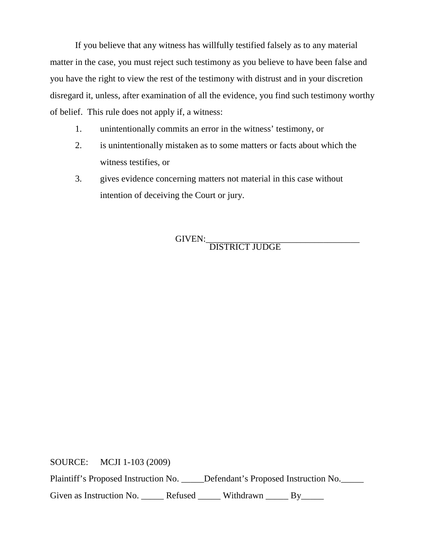If you believe that any witness has willfully testified falsely as to any material matter in the case, you must reject such testimony as you believe to have been false and you have the right to view the rest of the testimony with distrust and in your discretion disregard it, unless, after examination of all the evidence, you find such testimony worthy of belief. This rule does not apply if, a witness:

- 1. unintentionally commits an error in the witness' testimony, or
- 2. is unintentionally mistaken as to some matters or facts about which the witness testifies, or
- 3. gives evidence concerning matters not material in this case without intention of deceiving the Court or jury.

GIVEN:\_\_\_\_\_\_\_\_\_\_\_\_\_\_\_\_\_\_\_\_\_\_\_\_\_\_\_\_\_\_\_\_\_\_ DISTRICT JUDGE

SOURCE: MCJI 1-103 (2009)

Plaintiff's Proposed Instruction No. \_\_\_\_\_Defendant's Proposed Instruction No.

Given as Instruction No. \_\_\_\_\_\_ Refused \_\_\_\_\_\_ Withdrawn \_\_\_\_\_ By\_\_\_\_\_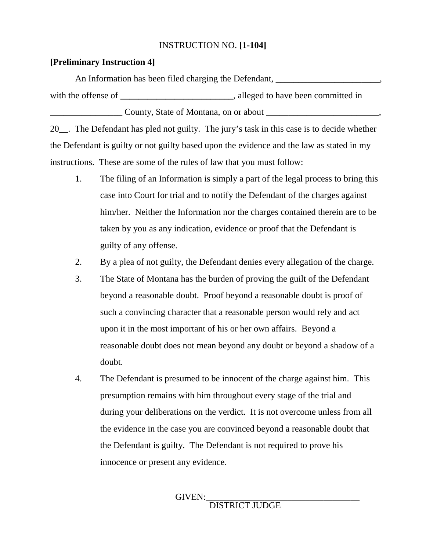### INSTRUCTION NO. **[1-104]**

### **[Preliminary Instruction 4]**

An Information has been filed charging the Defendant, *\_\_\_\_\_\_\_\_\_\_\_\_\_\_\_\_\_\_\_\_* with the offense of \_\_\_\_\_\_\_\_\_\_\_\_\_\_\_\_\_\_\_\_\_\_\_\_, alleged to have been committed in **\_\_\_\_\_\_\_\_\_\_\_\_\_\_\_\_** County, State of Montana, on or about **\_\_\_\_\_\_\_\_\_\_\_\_\_\_\_\_\_\_\_\_\_\_\_\_\_**,

20\_\_. The Defendant has pled not guilty. The jury's task in this case is to decide whether the Defendant is guilty or not guilty based upon the evidence and the law as stated in my instructions. These are some of the rules of law that you must follow:

- 1. The filing of an Information is simply a part of the legal process to bring this case into Court for trial and to notify the Defendant of the charges against him/her. Neither the Information nor the charges contained therein are to be taken by you as any indication, evidence or proof that the Defendant is guilty of any offense.
- 2. By a plea of not guilty, the Defendant denies every allegation of the charge.
- 3. The State of Montana has the burden of proving the guilt of the Defendant beyond a reasonable doubt. Proof beyond a reasonable doubt is proof of such a convincing character that a reasonable person would rely and act upon it in the most important of his or her own affairs. Beyond a reasonable doubt does not mean beyond any doubt or beyond a shadow of a doubt.
- 4. The Defendant is presumed to be innocent of the charge against him. This presumption remains with him throughout every stage of the trial and during your deliberations on the verdict. It is not overcome unless from all the evidence in the case you are convinced beyond a reasonable doubt that the Defendant is guilty. The Defendant is not required to prove his innocence or present any evidence.

### GIVEN:<br>DISTRICT JUDGE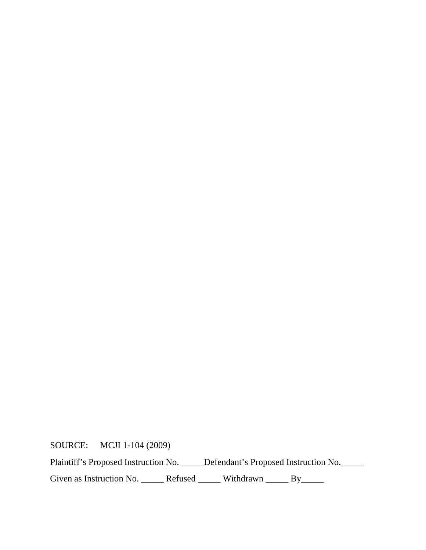SOURCE: MCJI 1-104 (2009)

Plaintiff's Proposed Instruction No. \_\_\_\_\_Defendant's Proposed Instruction No. \_\_\_\_\_

Given as Instruction No. \_\_\_\_\_\_ Refused \_\_\_\_\_\_ Withdrawn \_\_\_\_\_ By\_\_\_\_\_\_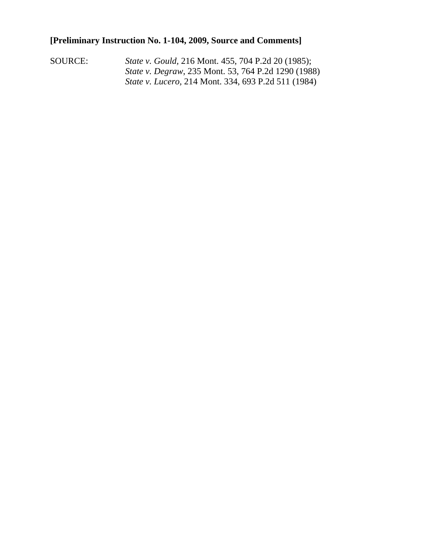### **[Preliminary Instruction No. 1-104, 2009, Source and Comments]**

SOURCE: *State v. Gould,* 216 Mont. 455, 704 P.2d 20 (1985); *State v. Degraw*, 235 Mont. 53, 764 P.2d 1290 (1988) *State v. Lucero,* 214 Mont. 334, 693 P.2d 511 (1984)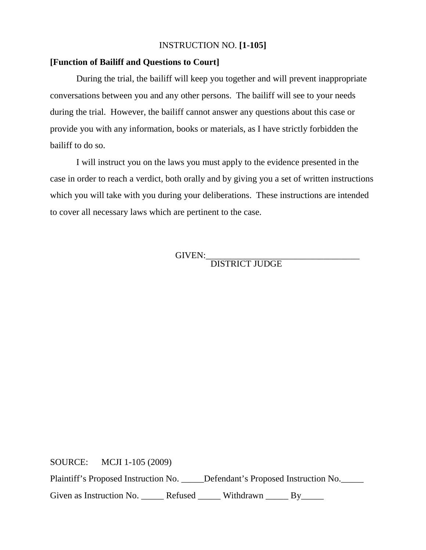### INSTRUCTION NO. **[1-105]**

### **[Function of Bailiff and Questions to Court]**

During the trial, the bailiff will keep you together and will prevent inappropriate conversations between you and any other persons. The bailiff will see to your needs during the trial. However, the bailiff cannot answer any questions about this case or provide you with any information, books or materials, as I have strictly forbidden the bailiff to do so.

I will instruct you on the laws you must apply to the evidence presented in the case in order to reach a verdict, both orally and by giving you a set of written instructions which you will take with you during your deliberations. These instructions are intended to cover all necessary laws which are pertinent to the case.

GIVEN:<br>DISTRICT JUDGE

SOURCE: MCJI 1-105 (2009)

Plaintiff's Proposed Instruction No. \_\_\_\_\_Defendant's Proposed Instruction No.

Given as Instruction No. \_\_\_\_\_\_ Refused \_\_\_\_\_\_ Withdrawn \_\_\_\_\_ By\_\_\_\_\_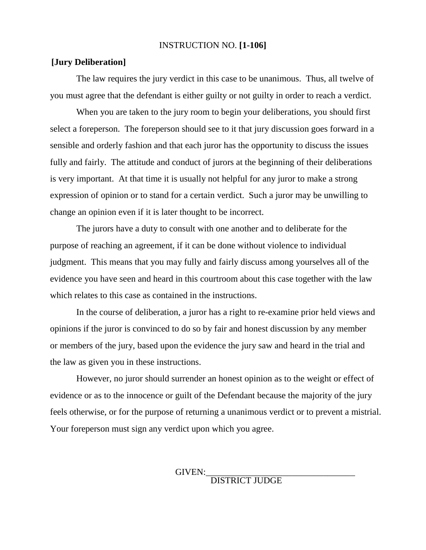#### INSTRUCTION NO. **[1-106]**

#### **[Jury Deliberation]**

The law requires the jury verdict in this case to be unanimous. Thus, all twelve of you must agree that the defendant is either guilty or not guilty in order to reach a verdict.

When you are taken to the jury room to begin your deliberations, you should first select a foreperson. The foreperson should see to it that jury discussion goes forward in a sensible and orderly fashion and that each juror has the opportunity to discuss the issues fully and fairly. The attitude and conduct of jurors at the beginning of their deliberations is very important. At that time it is usually not helpful for any juror to make a strong expression of opinion or to stand for a certain verdict. Such a juror may be unwilling to change an opinion even if it is later thought to be incorrect.

The jurors have a duty to consult with one another and to deliberate for the purpose of reaching an agreement, if it can be done without violence to individual judgment. This means that you may fully and fairly discuss among yourselves all of the evidence you have seen and heard in this courtroom about this case together with the law which relates to this case as contained in the instructions.

In the course of deliberation, a juror has a right to re-examine prior held views and opinions if the juror is convinced to do so by fair and honest discussion by any member or members of the jury, based upon the evidence the jury saw and heard in the trial and the law as given you in these instructions.

However, no juror should surrender an honest opinion as to the weight or effect of evidence or as to the innocence or guilt of the Defendant because the majority of the jury feels otherwise, or for the purpose of returning a unanimous verdict or to prevent a mistrial. Your foreperson must sign any verdict upon which you agree.

GIVEN:<br>DISTRICT JUDGE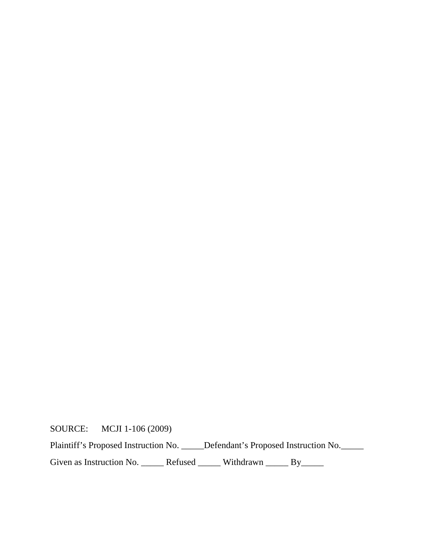SOURCE: MCJI 1-106 (2009)

Plaintiff's Proposed Instruction No. \_\_\_\_\_Defendant's Proposed Instruction No. \_\_\_\_\_

Given as Instruction No. \_\_\_\_\_\_ Refused \_\_\_\_\_\_ Withdrawn \_\_\_\_\_ By\_\_\_\_\_\_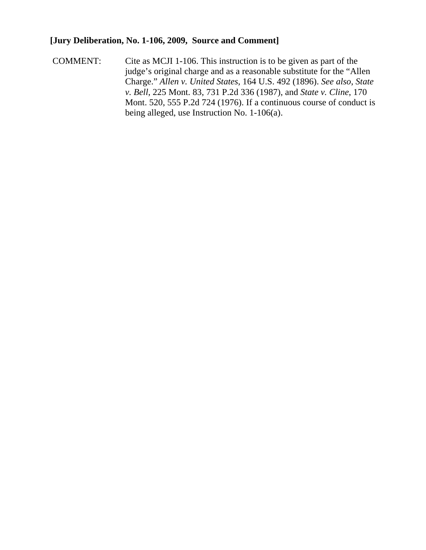### **[Jury Deliberation, No. 1-106, 2009, Source and Comment]**

COMMENT: Cite as MCJI 1-106. This instruction is to be given as part of the judge's original charge and as a reasonable substitute for the "Allen Charge." *Allen v. United States*, 164 U.S. 492 (1896). *See also*, *State v. Bell*, 225 Mont. 83, 731 P.2d 336 (1987), and *State v. Cline*, 170 Mont. 520, 555 P.2d 724 (1976). If a continuous course of conduct is being alleged, use Instruction No. 1-106(a).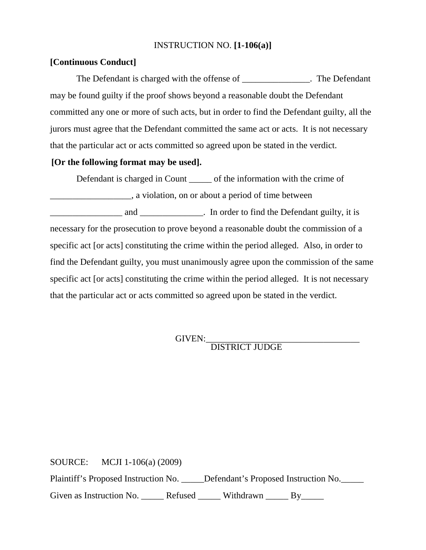### INSTRUCTION NO. **[1-106(a)]**

### **[Continuous Conduct]**

The Defendant is charged with the offense of \_\_\_\_\_\_\_\_\_\_\_\_\_\_. The Defendant may be found guilty if the proof shows beyond a reasonable doubt the Defendant committed any one or more of such acts, but in order to find the Defendant guilty, all the jurors must agree that the Defendant committed the same act or acts. It is not necessary that the particular act or acts committed so agreed upon be stated in the verdict.

### **[Or the following format may be used].**

Defendant is charged in Count \_\_\_\_\_ of the information with the crime of \_\_\_\_\_\_\_\_\_\_\_\_\_\_\_\_\_\_, a violation, on or about a period of time between

and \_\_\_\_\_\_\_\_\_\_\_\_\_\_ and \_\_\_\_\_\_\_\_\_\_\_\_\_\_. In order to find the Defendant guilty, it is necessary for the prosecution to prove beyond a reasonable doubt the commission of a specific act [or acts] constituting the crime within the period alleged. Also, in order to find the Defendant guilty, you must unanimously agree upon the commission of the same specific act [or acts] constituting the crime within the period alleged. It is not necessary that the particular act or acts committed so agreed upon be stated in the verdict.

# GIVEN:\_\_\_\_\_\_\_\_\_\_\_\_\_\_\_\_\_\_\_\_\_\_\_\_\_\_\_\_\_\_\_\_\_\_ DISTRICT JUDGE

SOURCE: MCJI 1-106(a) (2009) Plaintiff's Proposed Instruction No. \_\_\_\_\_Defendant's Proposed Instruction No. Given as Instruction No. \_\_\_\_\_\_ Refused \_\_\_\_\_\_ Withdrawn \_\_\_\_\_ By\_\_\_\_\_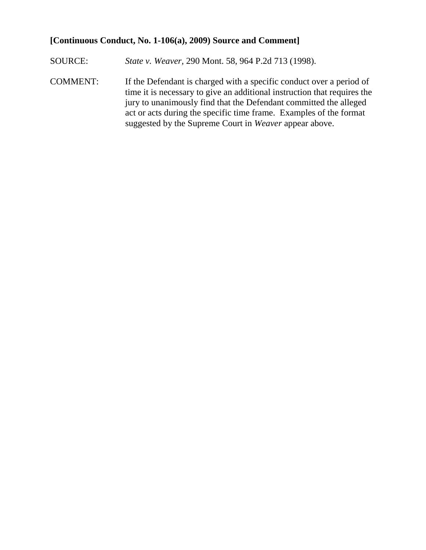### **[Continuous Conduct, No. 1-106(a), 2009) Source and Comment]**

- SOURCE: *State v. Weaver,* 290 Mont. 58, 964 P.2d 713 (1998).
- COMMENT: If the Defendant is charged with a specific conduct over a period of time it is necessary to give an additional instruction that requires the jury to unanimously find that the Defendant committed the alleged act or acts during the specific time frame. Examples of the format suggested by the Supreme Court in *Weaver* appear above.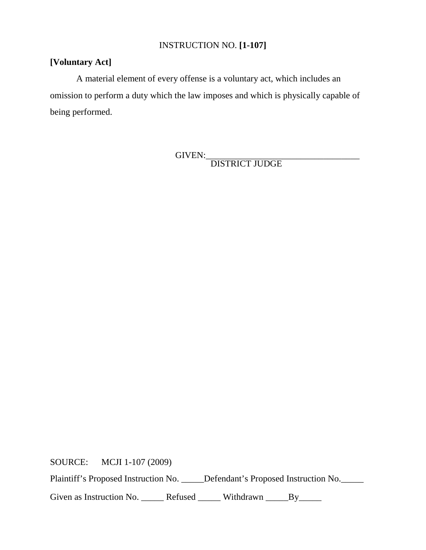### INSTRUCTION NO. **[1-107]**

### **[Voluntary Act]**

A material element of every offense is a voluntary act, which includes an omission to perform a duty which the law imposes and which is physically capable of being performed.

GIVEN:\_\_\_\_\_\_\_\_\_\_\_\_\_\_\_\_\_\_\_\_\_\_\_\_\_\_\_\_\_\_\_\_\_\_ DISTRICT JUDGE

SOURCE: MCJI 1-107 (2009)

Plaintiff's Proposed Instruction No. \_\_\_\_\_Defendant's Proposed Instruction No. \_\_\_\_\_

Given as Instruction No. \_\_\_\_\_\_ Refused \_\_\_\_\_\_ Withdrawn \_\_\_\_\_By\_\_\_\_\_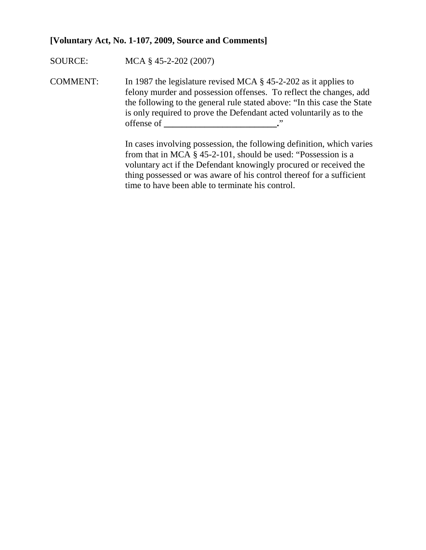### **[Voluntary Act, No. 1-107, 2009, Source and Comments]**

SOURCE: MCA § 45-2-202 (2007)

COMMENT: In 1987 the legislature revised MCA § 45-2-202 as it applies to felony murder and possession offenses. To reflect the changes, add the following to the general rule stated above: "In this case the State is only required to prove the Defendant acted voluntarily as to the offense of **\_\_\_\_\_\_\_\_\_\_\_\_\_\_\_\_\_\_\_\_\_\_\_\_\_.**"

> In cases involving possession, the following definition, which varies from that in MCA § 45-2-101, should be used: "Possession is a voluntary act if the Defendant knowingly procured or received the thing possessed or was aware of his control thereof for a sufficient time to have been able to terminate his control.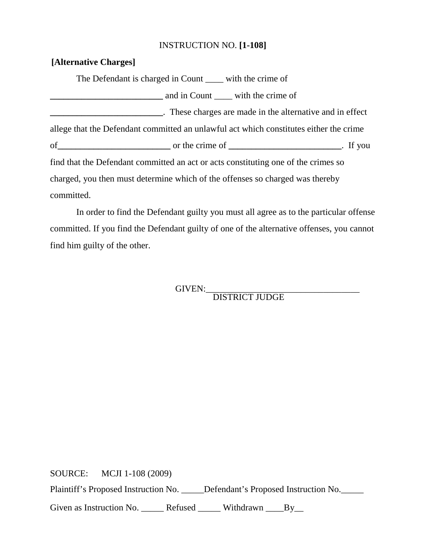### INSTRUCTION NO. **[1-108]**

### **[Alternative Charges]**

The Defendant is charged in Count \_\_\_\_ with the crime of **\_\_\_\_\_\_\_\_\_\_\_\_\_\_\_\_\_\_\_\_\_\_\_\_\_** and in Count \_\_\_\_ with the crime of **These charges are made in the alternative and in effect** allege that the Defendant committed an unlawful act which constitutes either the crime of or the crime of **contained a set of the crime of the crime of**  $\cdot$  If you find that the Defendant committed an act or acts constituting one of the crimes so charged, you then must determine which of the offenses so charged was thereby committed.

In order to find the Defendant guilty you must all agree as to the particular offense committed. If you find the Defendant guilty of one of the alternative offenses, you cannot find him guilty of the other.

GIVEN:<br>DISTRICT JUDGE

SOURCE: MCJI 1-108 (2009) Plaintiff's Proposed Instruction No. \_\_\_\_\_Defendant's Proposed Instruction No.\_\_\_\_\_ Given as Instruction No. \_\_\_\_\_\_ Refused \_\_\_\_\_ Withdrawn \_\_\_\_\_By\_\_\_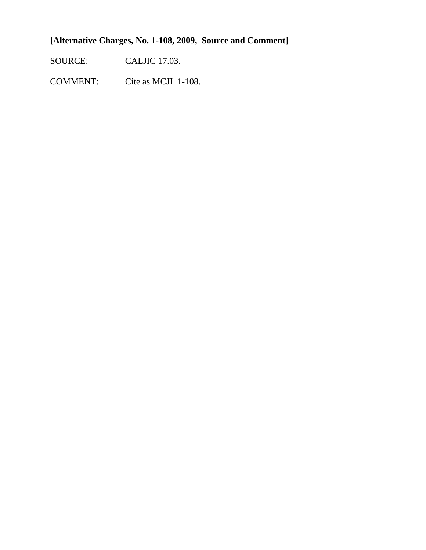### **[Alternative Charges, No. 1-108, 2009, Source and Comment]**

SOURCE: CALJIC 17.03.

COMMENT: Cite as MCJI 1-108.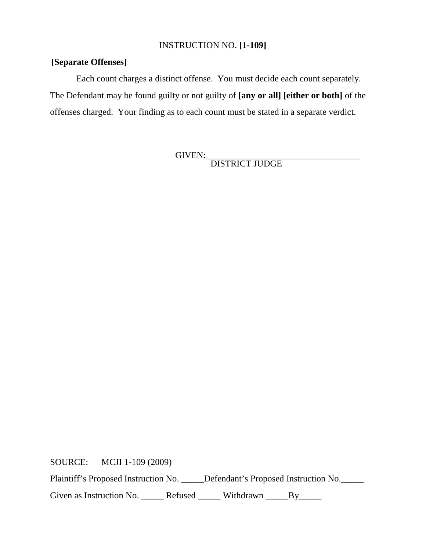### INSTRUCTION NO. **[1-109]**

### **[Separate Offenses]**

Each count charges a distinct offense. You must decide each count separately. The Defendant may be found guilty or not guilty of **[any or all] [either or both]** of the offenses charged. Your finding as to each count must be stated in a separate verdict.

GIVEN:\_\_\_\_\_\_\_\_\_\_\_\_\_\_\_\_\_\_\_\_\_\_\_\_\_\_\_\_\_\_\_\_\_\_ DISTRICT JUDGE

SOURCE: MCJI 1-109 (2009)

Plaintiff's Proposed Instruction No. \_\_\_\_\_Defendant's Proposed Instruction No. \_\_\_\_\_

Given as Instruction No. \_\_\_\_\_\_ Refused \_\_\_\_\_\_ Withdrawn \_\_\_\_\_By\_\_\_\_\_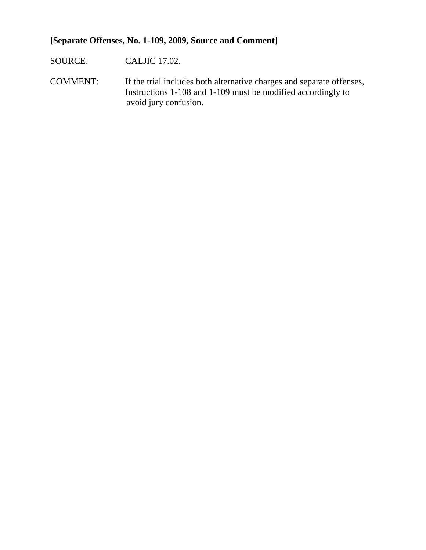### **[Separate Offenses, No. 1-109, 2009, Source and Comment]**

SOURCE: CALJIC 17.02.

COMMENT: If the trial includes both alternative charges and separate offenses, Instructions 1-108 and 1-109 must be modified accordingly to avoid jury confusion.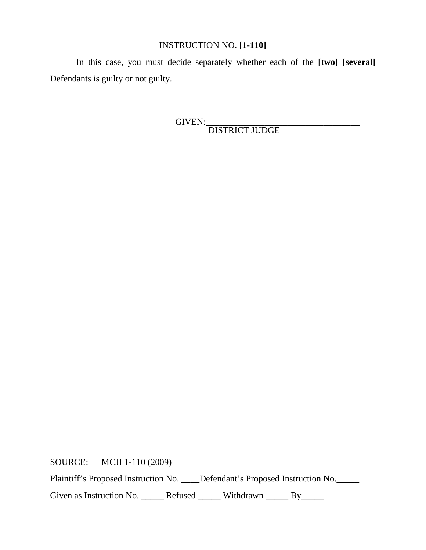### INSTRUCTION NO. **[1-110]**

In this case, you must decide separately whether each of the **[two] [several]** Defendants is guilty or not guilty.

GIVEN:\_\_\_\_\_\_\_\_\_\_\_\_\_\_\_\_\_\_\_\_\_\_\_\_\_\_\_\_\_\_\_\_\_\_ DISTRICT JUDGE

SOURCE: MCJI 1-110 (2009)

Plaintiff's Proposed Instruction No. \_\_\_\_Defendant's Proposed Instruction No. \_\_\_\_\_

Given as Instruction No. \_\_\_\_\_\_ Refused \_\_\_\_\_\_ Withdrawn \_\_\_\_\_ By\_\_\_\_\_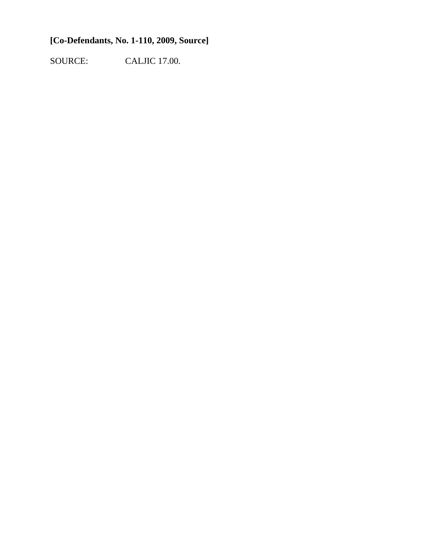### **[Co-Defendants, No. 1-110, 2009, Source]**

SOURCE: CALJIC 17.00.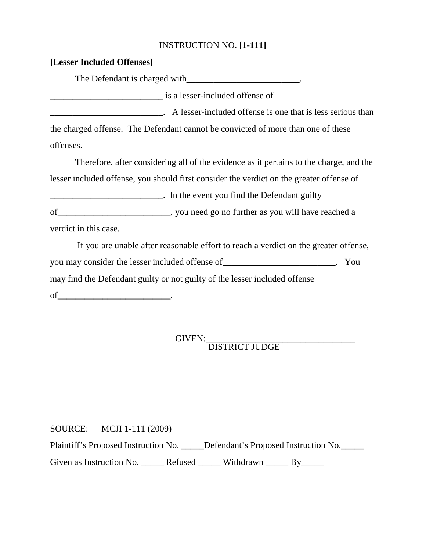### INSTRUCTION NO. **[1-111]**

| is a lesser-included offense of                                                          |  |
|------------------------------------------------------------------------------------------|--|
| A lesser-included offense is one that is less serious than                               |  |
| the charged offense. The Defendant cannot be convicted of more than one of these         |  |
| offenses.                                                                                |  |
| Therefore, after considering all of the evidence as it pertains to the charge, and the   |  |
| lesser included offense, you should first consider the verdict on the greater offense of |  |
| _________________________________. In the event you find the Defendant guilty            |  |
|                                                                                          |  |
| verdict in this case.                                                                    |  |
| If you are unable after reasonable effort to reach a verdict on the greater offense,     |  |
| you may consider the lesser included offense of ________________________. You            |  |
| may find the Defendant guilty or not guilty of the lesser included offense               |  |
|                                                                                          |  |

# GIVEN: DISTRICT JUDGE

SOURCE: MCJI 1-111 (2009)

**[Lesser Included Offenses]**

Plaintiff's Proposed Instruction No. \_\_\_\_\_Defendant's Proposed Instruction No.

Given as Instruction No. \_\_\_\_\_\_ Refused \_\_\_\_\_\_ Withdrawn \_\_\_\_\_ By\_\_\_\_\_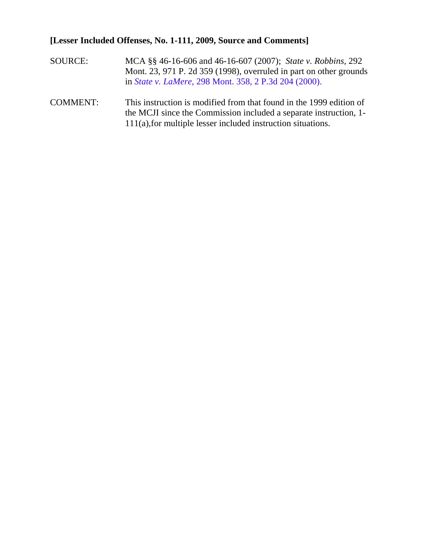### **[Lesser Included Offenses, No. 1-111, 2009, Source and Comments]**

- SOURCE: MCA §§ 46-16-606 and 46-16-607 (2007); *State v. Robbins,* 292 Mont. 23, 971 P. 2d 359 (1998), overruled in part on other grounds in *State v. LaMere*, 298 Mont. 358, 2 P.3d 204 (2000).
- COMMENT: This instruction is modified from that found in the 1999 edition of the MCJI since the Commission included a separate instruction, 1- 111(a),for multiple lesser included instruction situations.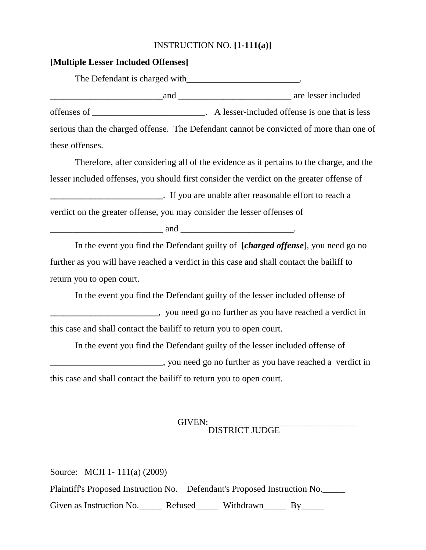### INSTRUCTION NO. **[1-111(a)]**

### **[Multiple Lesser Included Offenses]**

The Defendant is charged with**\_\_\_\_\_\_\_\_\_\_\_\_\_\_\_\_\_\_\_\_\_\_\_\_\_**. **\_\_\_\_\_\_\_\_\_\_\_\_\_\_\_\_\_\_\_\_\_\_\_\_\_**and **\_\_\_\_\_\_\_\_\_\_\_\_\_\_\_\_\_\_\_\_\_\_\_\_\_** are lesser included offenses of **\_\_\_\_\_\_\_\_\_\_\_\_\_\_\_\_\_\_\_\_\_\_\_\_\_**. A lesser-included offense is one that is less serious than the charged offense. The Defendant cannot be convicted of more than one of these offenses.

Therefore, after considering all of the evidence as it pertains to the charge, and the lesser included offenses, you should first consider the verdict on the greater offense of **\_\_\_\_\_\_\_\_\_\_\_\_\_\_\_\_\_\_\_\_\_\_\_\_\_**. If you are unable after reasonable effort to reach a verdict on the greater offense, you may consider the lesser offenses of

**\_\_\_\_\_\_\_\_\_\_\_\_\_\_\_\_\_\_\_\_\_\_\_\_\_** and **\_\_\_\_\_\_\_\_\_\_\_\_\_\_\_\_\_\_\_\_\_\_\_\_\_**.

In the event you find the Defendant guilty of **[***charged offense*], you need go no further as you will have reached a verdict in this case and shall contact the bailiff to return you to open court.

In the event you find the Defendant guilty of the lesser included offense of **Example 2.1** you need go no further as you have reached a verdict in this case and shall contact the bailiff to return you to open court.

In the event you find the Defendant guilty of the lesser included offense of **EXECUTE:** you need go no further as you have reached a verdict in this case and shall contact the bailiff to return you to open court.

## GIVEN:<br>DISTRICT JUDGE

Source: MCJI 1- 111(a) (2009) Plaintiff's Proposed Instruction No. Defendant's Proposed Instruction No.\_\_\_\_\_ Given as Instruction No. Refused Withdrawn By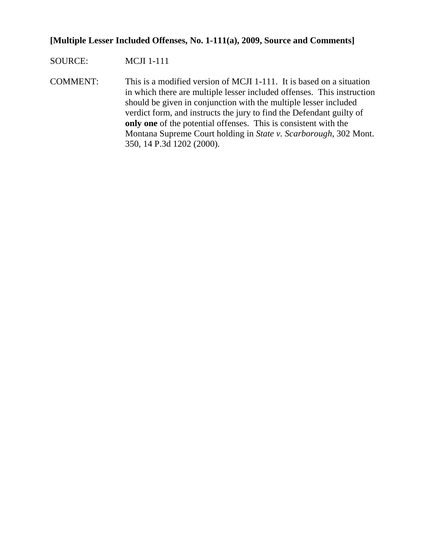### **[Multiple Lesser Included Offenses, No. 1-111(a), 2009, Source and Comments]**

### SOURCE: MCJI 1-111

COMMENT: This is a modified version of MCJI 1-111. It is based on a situation in which there are multiple lesser included offenses. This instruction should be given in conjunction with the multiple lesser included verdict form, and instructs the jury to find the Defendant guilty of **only one** of the potential offenses. This is consistent with the Montana Supreme Court holding in *State v. Scarborough*, 302 Mont. 350, 14 P.3d 1202 (2000).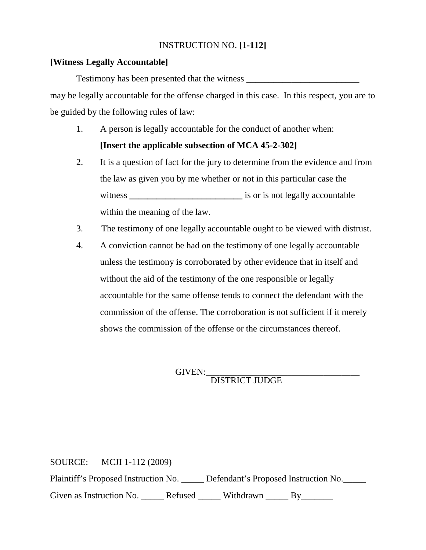### INSTRUCTION NO. **[1-112]**

### **[Witness Legally Accountable]**

Testimony has been presented that the witness **\_\_\_\_\_\_\_\_\_\_\_\_\_\_\_\_\_\_\_\_\_\_\_\_\_** may be legally accountable for the offense charged in this case. In this respect, you are to be guided by the following rules of law:

- 1. A person is legally accountable for the conduct of another when:
	- **[Insert the applicable subsection of MCA 45-2-302]**
- 2. It is a question of fact for the jury to determine from the evidence and from the law as given you by me whether or not in this particular case the witness **\_\_\_\_\_\_\_\_\_\_\_\_\_\_\_\_\_\_\_\_\_\_\_\_\_** is or is not legally accountable within the meaning of the law.
- 3. The testimony of one legally accountable ought to be viewed with distrust.
- 4. A conviction cannot be had on the testimony of one legally accountable unless the testimony is corroborated by other evidence that in itself and without the aid of the testimony of the one responsible or legally accountable for the same offense tends to connect the defendant with the commission of the offense. The corroboration is not sufficient if it merely shows the commission of the offense or the circumstances thereof.

GIVEN:\_\_\_\_\_\_\_\_\_\_\_\_\_\_\_\_\_\_\_\_\_\_\_\_\_\_\_\_\_\_\_\_\_\_ DISTRICT JUDGE

SOURCE: MCJI 1-112 (2009) Plaintiff's Proposed Instruction No. \_\_\_\_\_ Defendant's Proposed Instruction No.\_\_\_\_\_ Given as Instruction No. \_\_\_\_\_\_ Refused \_\_\_\_\_\_ Withdrawn \_\_\_\_\_ By\_\_\_\_\_\_\_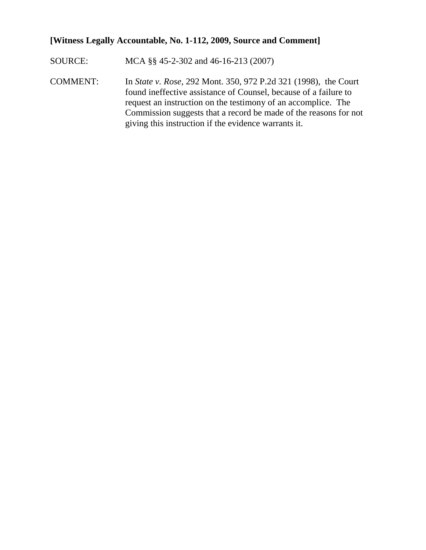### **[Witness Legally Accountable, No. 1-112, 2009, Source and Comment]**

- SOURCE: MCA §§ 45-2-302 and 46-16-213 (2007)
- COMMENT: In *State v. Rose*, 292 Mont. 350, 972 P.2d 321 (1998), the Court found ineffective assistance of Counsel, because of a failure to request an instruction on the testimony of an accomplice. The Commission suggests that a record be made of the reasons for not giving this instruction if the evidence warrants it.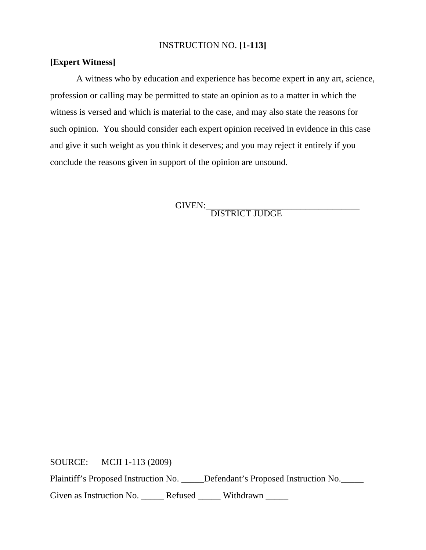### INSTRUCTION NO. **[1-113]**

### **[Expert Witness]**

A witness who by education and experience has become expert in any art, science, profession or calling may be permitted to state an opinion as to a matter in which the witness is versed and which is material to the case, and may also state the reasons for such opinion. You should consider each expert opinion received in evidence in this case and give it such weight as you think it deserves; and you may reject it entirely if you conclude the reasons given in support of the opinion are unsound.

GIVEN:\_\_\_\_\_\_\_\_\_\_\_\_\_\_\_\_\_\_\_\_\_\_\_\_\_\_\_\_\_\_\_\_\_\_ DISTRICT JUDGE

SOURCE: MCJI 1-113 (2009)

Plaintiff's Proposed Instruction No. \_\_\_\_\_Defendant's Proposed Instruction No.

Given as Instruction No. \_\_\_\_\_\_ Refused \_\_\_\_\_ Withdrawn \_\_\_\_\_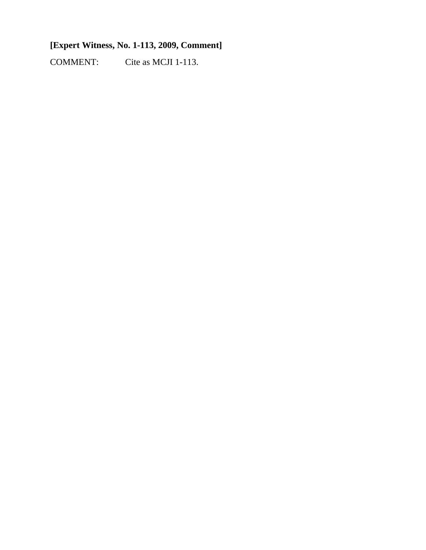### **[Expert Witness, No. 1-113, 2009, Comment]**

COMMENT: Cite as MCJI 1-113.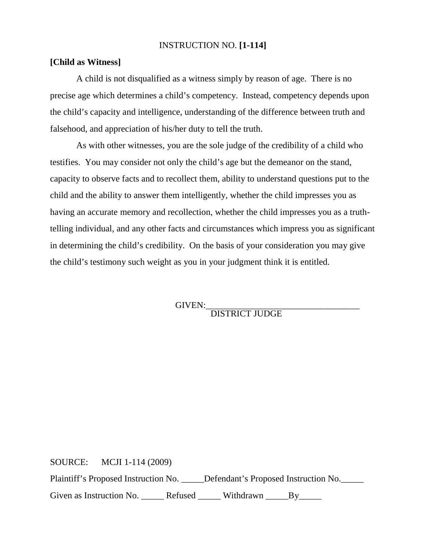### INSTRUCTION NO. **[1-114]**

### **[Child as Witness]**

A child is not disqualified as a witness simply by reason of age. There is no precise age which determines a child's competency. Instead, competency depends upon the child's capacity and intelligence, understanding of the difference between truth and falsehood, and appreciation of his/her duty to tell the truth.

As with other witnesses, you are the sole judge of the credibility of a child who testifies. You may consider not only the child's age but the demeanor on the stand, capacity to observe facts and to recollect them, ability to understand questions put to the child and the ability to answer them intelligently, whether the child impresses you as having an accurate memory and recollection, whether the child impresses you as a truthtelling individual, and any other facts and circumstances which impress you as significant in determining the child's credibility. On the basis of your consideration you may give the child's testimony such weight as you in your judgment think it is entitled.

GIVEN: DISTRICT JUDGE

SOURCE: MCJI 1-114 (2009)

Plaintiff's Proposed Instruction No. \_\_\_\_\_Defendant's Proposed Instruction No.

Given as Instruction No. \_\_\_\_\_\_ Refused \_\_\_\_\_\_ Withdrawn \_\_\_\_\_\_By\_\_\_\_\_\_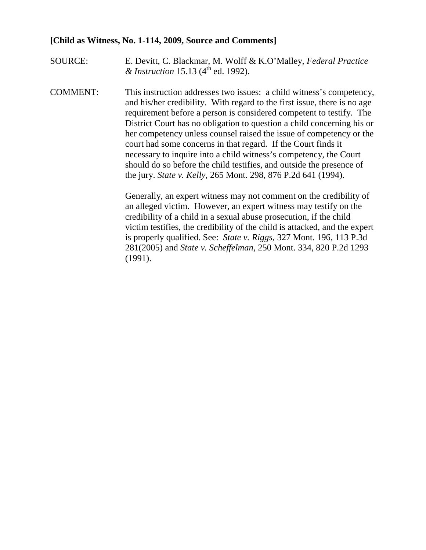### **[Child as Witness, No. 1-114, 2009, Source and Comments]**

- SOURCE: E. Devitt, C. Blackmar, M. Wolff & K.O'Malley, *Federal Practice & Instruction* 15.13 (4<sup>th</sup> ed. 1992).
- COMMENT: This instruction addresses two issues: a child witness's competency, and his/her credibility. With regard to the first issue, there is no age requirement before a person is considered competent to testify. The District Court has no obligation to question a child concerning his or her competency unless counsel raised the issue of competency or the court had some concerns in that regard. If the Court finds it necessary to inquire into a child witness's competency, the Court should do so before the child testifies, and outside the presence of the jury. *State v. Kelly,* 265 Mont. 298, 876 P.2d 641 (1994).

Generally, an expert witness may not comment on the credibility of an alleged victim. However, an expert witness may testify on the credibility of a child in a sexual abuse prosecution, if the child victim testifies, the credibility of the child is attacked, and the expert is properly qualified. See: *State v. Riggs,* 327 Mont. 196, 113 P.3d 281(2005) and *State v. Scheffelman,* 250 Mont. 334, 820 P.2d 1293 (1991).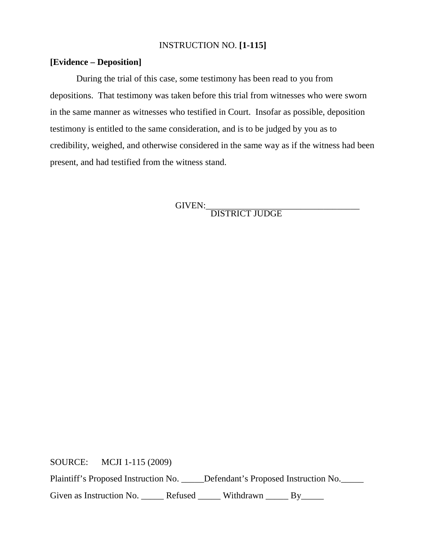### INSTRUCTION NO. **[1-115]**

### **[Evidence – Deposition]**

During the trial of this case, some testimony has been read to you from depositions. That testimony was taken before this trial from witnesses who were sworn in the same manner as witnesses who testified in Court. Insofar as possible, deposition testimony is entitled to the same consideration, and is to be judged by you as to credibility, weighed, and otherwise considered in the same way as if the witness had been present, and had testified from the witness stand.

GIVEN:\_\_\_\_\_\_\_\_\_\_\_\_\_\_\_\_\_\_\_\_\_\_\_\_\_\_\_\_\_\_\_\_\_\_ DISTRICT JUDGE

SOURCE: MCJI 1-115 (2009)

Plaintiff's Proposed Instruction No. \_\_\_\_\_Defendant's Proposed Instruction No.

Given as Instruction No. \_\_\_\_\_\_ Refused \_\_\_\_\_\_ Withdrawn \_\_\_\_\_ By\_\_\_\_\_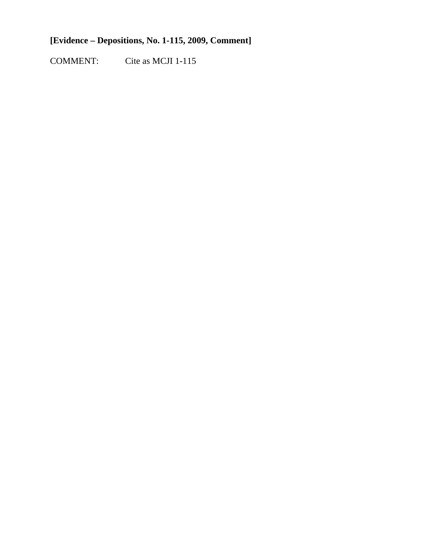### **[Evidence – Depositions, No. 1-115, 2009, Comment]**

COMMENT: Cite as MCJI 1-115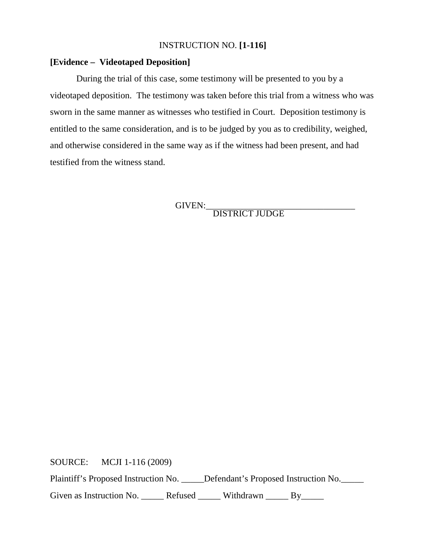### INSTRUCTION NO. **[1-116]**

### **[Evidence – Videotaped Deposition]**

During the trial of this case, some testimony will be presented to you by a videotaped deposition. The testimony was taken before this trial from a witness who was sworn in the same manner as witnesses who testified in Court. Deposition testimony is entitled to the same consideration, and is to be judged by you as to credibility, weighed, and otherwise considered in the same way as if the witness had been present, and had testified from the witness stand.

GIVEN:\_\_\_\_\_\_\_\_\_\_\_\_\_\_\_\_\_\_\_\_\_\_\_\_\_\_\_\_\_\_\_\_\_ DISTRICT JUDGE

SOURCE: MCJI 1-116 (2009)

Plaintiff's Proposed Instruction No. \_\_\_\_\_Defendant's Proposed Instruction No.

Given as Instruction No. \_\_\_\_\_\_ Refused \_\_\_\_\_\_ Withdrawn \_\_\_\_\_ By\_\_\_\_\_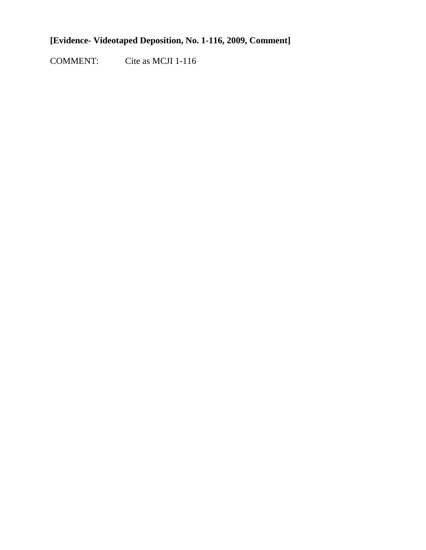### **[Evidence- Videotaped Deposition, No. 1-116, 2009, Comment]**

COMMENT: Cite as MCJI 1-116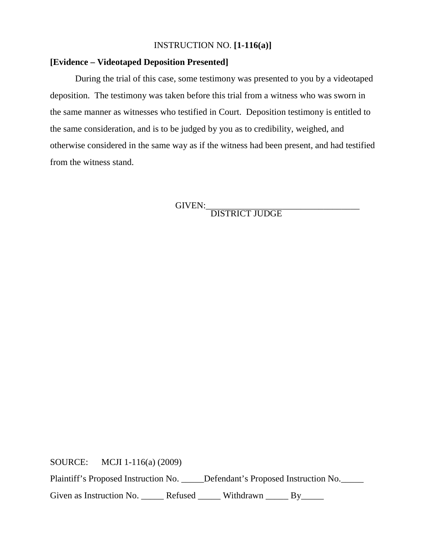### INSTRUCTION NO. **[1-116(a)]**

### **[Evidence – Videotaped Deposition Presented]**

During the trial of this case, some testimony was presented to you by a videotaped deposition. The testimony was taken before this trial from a witness who was sworn in the same manner as witnesses who testified in Court. Deposition testimony is entitled to the same consideration, and is to be judged by you as to credibility, weighed, and otherwise considered in the same way as if the witness had been present, and had testified from the witness stand.

GIVEN:\_\_\_\_\_\_\_\_\_\_\_\_\_\_\_\_\_\_\_\_\_\_\_\_\_\_\_\_\_\_\_\_\_\_ DISTRICT JUDGE

SOURCE: MCJI 1-116(a) (2009)

Plaintiff's Proposed Instruction No. \_\_\_\_\_Defendant's Proposed Instruction No. \_\_\_\_\_

Given as Instruction No. \_\_\_\_\_\_ Refused \_\_\_\_\_\_ Withdrawn \_\_\_\_\_ By\_\_\_\_\_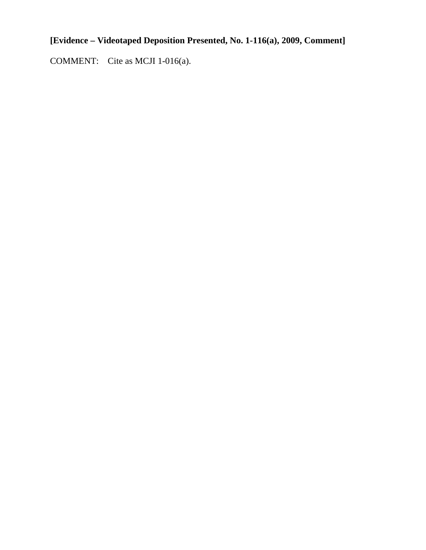### **[Evidence – Videotaped Deposition Presented, No. 1-116(a), 2009, Comment]**

COMMENT: Cite as MCJI 1-016(a).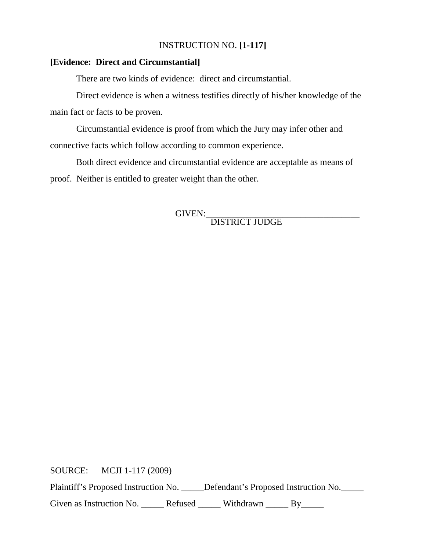### INSTRUCTION NO. **[1-117]**

### **[Evidence: Direct and Circumstantial]**

There are two kinds of evidence: direct and circumstantial.

Direct evidence is when a witness testifies directly of his/her knowledge of the main fact or facts to be proven.

Circumstantial evidence is proof from which the Jury may infer other and connective facts which follow according to common experience.

Both direct evidence and circumstantial evidence are acceptable as means of proof. Neither is entitled to greater weight than the other.

GIVEN:\_\_\_\_\_\_\_\_\_\_\_\_\_\_\_\_\_\_\_\_\_\_\_\_\_\_\_\_\_\_\_\_\_\_ DISTRICT JUDGE

SOURCE: MCJI 1-117 (2009) Plaintiff's Proposed Instruction No. \_\_\_\_\_Defendant's Proposed Instruction No. Given as Instruction No. \_\_\_\_\_\_ Refused \_\_\_\_\_\_ Withdrawn \_\_\_\_\_ By\_\_\_\_\_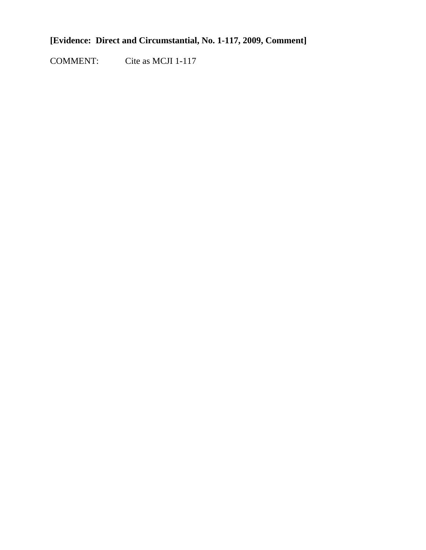### **[Evidence: Direct and Circumstantial, No. 1-117, 2009, Comment]**

COMMENT: Cite as MCJI 1-117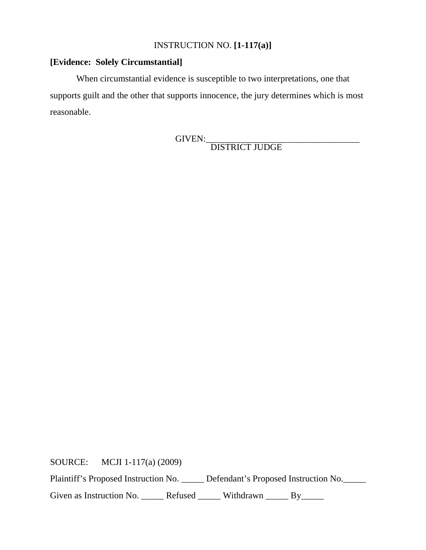### INSTRUCTION NO. **[1-117(a)]**

### **[Evidence: Solely Circumstantial]**

When circumstantial evidence is susceptible to two interpretations, one that supports guilt and the other that supports innocence, the jury determines which is most reasonable.

GIVEN:\_\_\_\_\_\_\_\_\_\_\_\_\_\_\_\_\_\_\_\_\_\_\_\_\_\_\_\_\_\_\_\_\_\_ DISTRICT JUDGE

SOURCE: MCJI 1-117(a) (2009)

Plaintiff's Proposed Instruction No. \_\_\_\_\_ Defendant's Proposed Instruction No. \_\_\_\_\_

Given as Instruction No. \_\_\_\_\_\_ Refused \_\_\_\_\_\_ Withdrawn \_\_\_\_\_ By\_\_\_\_\_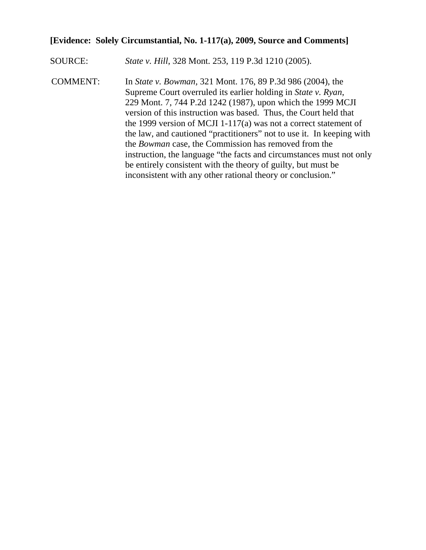### **[Evidence: Solely Circumstantial, No. 1-117(a), 2009, Source and Comments]**

- SOURCE: *State v. Hill*, 328 Mont. 253, 119 P.3d 1210 (2005).
- COMMENT: In *State v. Bowman,* 321 Mont. 176, 89 P.3d 986 (2004), the Supreme Court overruled its earlier holding in *State v. Ryan*, 229 Mont. 7, 744 P.2d 1242 (1987), upon which the 1999 MCJI version of this instruction was based. Thus, the Court held that the 1999 version of MCJI 1-117(a) was not a correct statement of the law, and cautioned "practitioners" not to use it. In keeping with the *Bowman* case, the Commission has removed from the instruction, the language "the facts and circumstances must not only be entirely consistent with the theory of guilty, but must be inconsistent with any other rational theory or conclusion."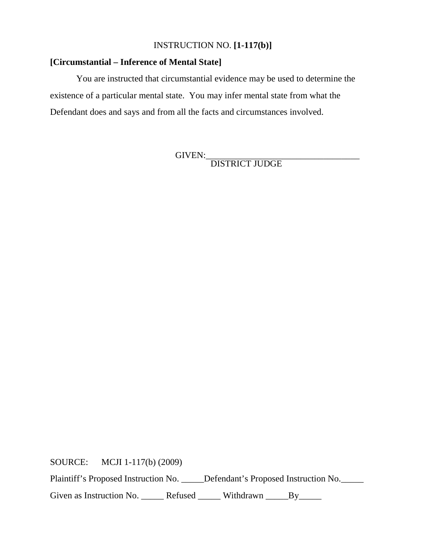### INSTRUCTION NO. **[1-117(b)]**

### **[Circumstantial – Inference of Mental State]**

You are instructed that circumstantial evidence may be used to determine the existence of a particular mental state. You may infer mental state from what the Defendant does and says and from all the facts and circumstances involved.

GIVEN:\_\_\_\_\_\_\_\_\_\_\_\_\_\_\_\_\_\_\_\_\_\_\_\_\_\_\_\_\_\_\_\_\_\_ DISTRICT JUDGE

SOURCE: MCJI 1-117(b) (2009)

Plaintiff's Proposed Instruction No. \_\_\_\_\_Defendant's Proposed Instruction No.

Given as Instruction No. \_\_\_\_\_\_ Refused \_\_\_\_\_\_ Withdrawn \_\_\_\_\_By\_\_\_\_\_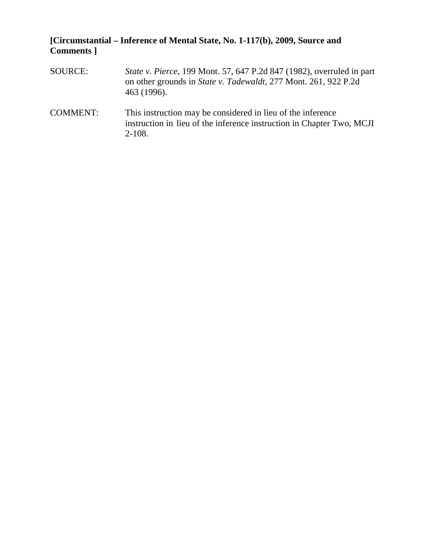### **[Circumstantial – Inference of Mental State, No. 1-117(b), 2009, Source and Comments ]**

- SOURCE: *State v. Pierce*, 199 Mont. 57, 647 P.2d 847 (1982), overruled in part on other grounds in *State v. Tadewaldt,* 277 Mont. 261, 922 P.2d 463 (1996).
- COMMENT: This instruction may be considered in lieu of the inference instruction in lieu of the inference instruction in Chapter Two, MCJI 2-108.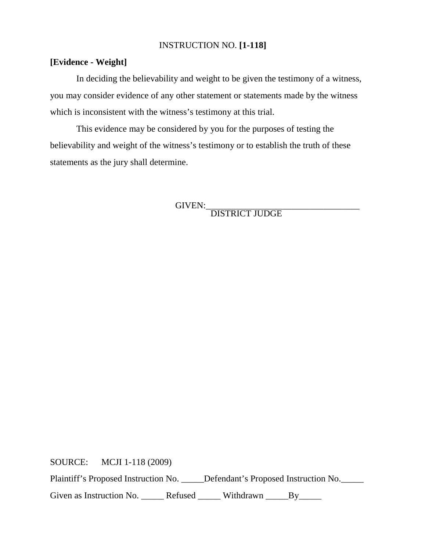### INSTRUCTION NO. **[1-118]**

### **[Evidence - Weight]**

In deciding the believability and weight to be given the testimony of a witness, you may consider evidence of any other statement or statements made by the witness which is inconsistent with the witness's testimony at this trial.

This evidence may be considered by you for the purposes of testing the believability and weight of the witness's testimony or to establish the truth of these statements as the jury shall determine.

GIVEN:\_\_\_\_\_\_\_\_\_\_\_\_\_\_\_\_\_\_\_\_\_\_\_\_\_\_\_\_\_\_\_\_\_\_ DISTRICT JUDGE

SOURCE: MCJI 1-118 (2009)

Plaintiff's Proposed Instruction No. \_\_\_\_\_Defendant's Proposed Instruction No. \_\_\_\_\_

Given as Instruction No. \_\_\_\_\_\_ Refused \_\_\_\_\_\_ Withdrawn \_\_\_\_\_By\_\_\_\_\_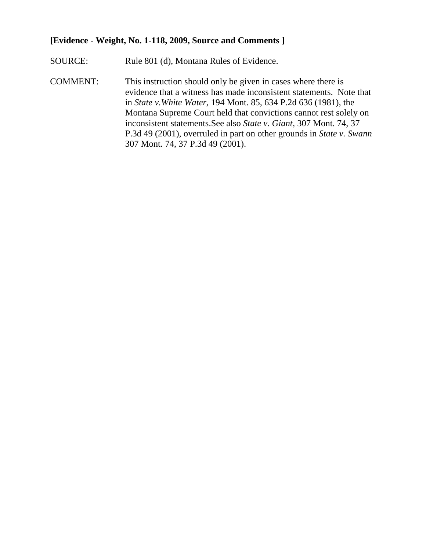### **[Evidence - Weight, No. 1-118, 2009, Source and Comments ]**

- SOURCE: Rule 801 (d), Montana Rules of Evidence.
- COMMENT: This instruction should only be given in cases where there is evidence that a witness has made inconsistent statements. Note that in *State v.White Water,* 194 Mont. 85, 634 P.2d 636 (1981), the Montana Supreme Court held that convictions cannot rest solely on inconsistent statements.See also *State v. Giant*, 307 Mont. 74, 37 P.3d 49 (2001), overruled in part on other grounds in *State v. Swann* 307 Mont. 74, 37 P.3d 49 (2001).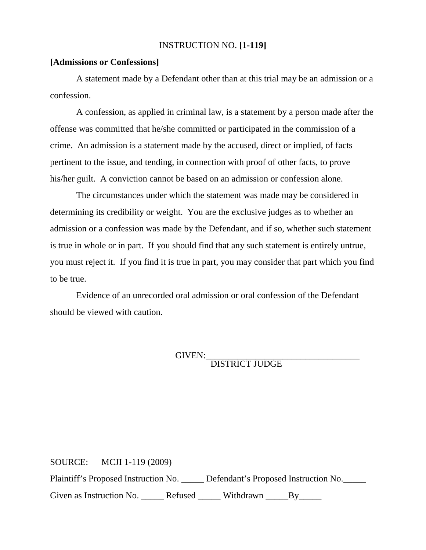### INSTRUCTION NO. **[1-119]**

#### **[Admissions or Confessions]**

A statement made by a Defendant other than at this trial may be an admission or a confession.

A confession, as applied in criminal law, is a statement by a person made after the offense was committed that he/she committed or participated in the commission of a crime. An admission is a statement made by the accused, direct or implied, of facts pertinent to the issue, and tending, in connection with proof of other facts, to prove his/her guilt. A conviction cannot be based on an admission or confession alone.

The circumstances under which the statement was made may be considered in determining its credibility or weight. You are the exclusive judges as to whether an admission or a confession was made by the Defendant, and if so, whether such statement is true in whole or in part. If you should find that any such statement is entirely untrue, you must reject it. If you find it is true in part, you may consider that part which you find to be true.

Evidence of an unrecorded oral admission or oral confession of the Defendant should be viewed with caution.

GIVEN:\_\_\_\_\_\_\_\_\_\_\_\_\_\_\_\_\_\_\_\_\_\_\_\_\_\_\_\_\_\_\_\_\_\_ DISTRICT JUDGE

SOURCE: MCJI 1-119 (2009) Plaintiff's Proposed Instruction No. \_\_\_\_\_ Defendant's Proposed Instruction No.\_\_\_\_\_ Given as Instruction No. \_\_\_\_\_\_ Refused \_\_\_\_\_\_ Withdrawn \_\_\_\_\_By\_\_\_\_\_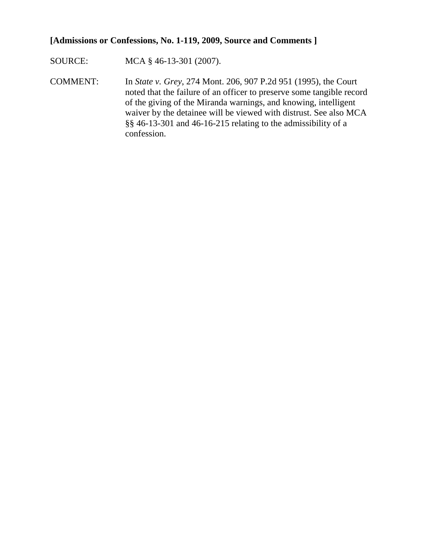### **[Admissions or Confessions, No. 1-119, 2009, Source and Comments ]**

SOURCE: MCA § 46-13-301 (2007).

COMMENT: In *State v. Grey*, 274 Mont. 206, 907 P.2d 951 (1995), the Court noted that the failure of an officer to preserve some tangible record of the giving of the Miranda warnings, and knowing, intelligent waiver by the detainee will be viewed with distrust. See also MCA §§ 46-13-301 and 46-16-215 relating to the admissibility of a confession.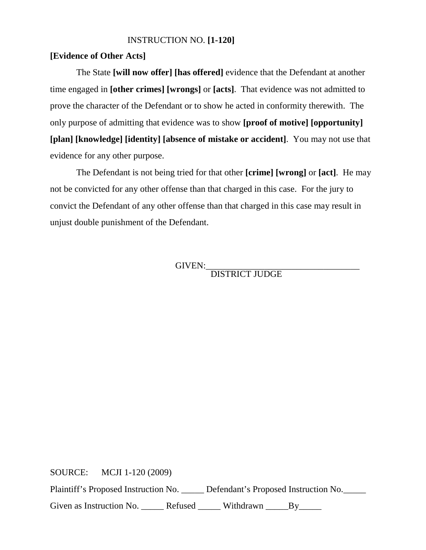### INSTRUCTION NO. **[1-120]**

### **[Evidence of Other Acts]**

The State **[will now offer] [has offered]** evidence that the Defendant at another time engaged in **[other crimes] [wrongs]** or **[acts]**. That evidence was not admitted to prove the character of the Defendant or to show he acted in conformity therewith. The only purpose of admitting that evidence was to show **[proof of motive] [opportunity] [plan] [knowledge] [identity] [absence of mistake or accident]**. You may not use that evidence for any other purpose.

The Defendant is not being tried for that other **[crime] [wrong]** or **[act]**. He may not be convicted for any other offense than that charged in this case. For the jury to convict the Defendant of any other offense than that charged in this case may result in unjust double punishment of the Defendant.

GIVEN:\_\_\_\_\_\_\_\_\_\_\_\_\_\_\_\_\_\_\_\_\_\_\_\_\_\_\_\_\_\_\_\_\_\_ DISTRICT JUDGE

SOURCE: MCJI 1-120 (2009) Plaintiff's Proposed Instruction No. \_\_\_\_\_ Defendant's Proposed Instruction No.\_\_\_\_\_ Given as Instruction No. \_\_\_\_\_\_ Refused \_\_\_\_\_\_ Withdrawn \_\_\_\_\_By\_\_\_\_\_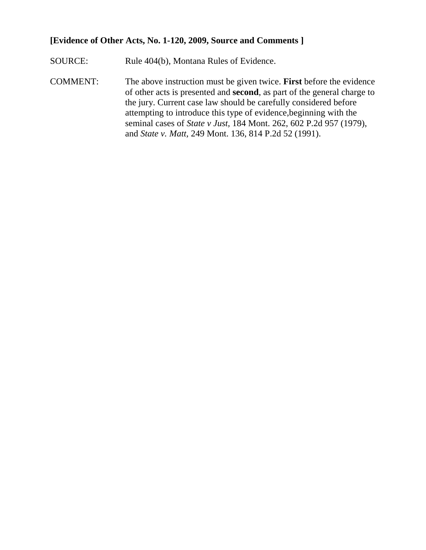### **[Evidence of Other Acts, No. 1-120, 2009, Source and Comments ]**

SOURCE: Rule 404(b), Montana Rules of Evidence.

COMMENT: The above instruction must be given twice. **First** before the evidence of other acts is presented and **second**, as part of the general charge to the jury. Current case law should be carefully considered before attempting to introduce this type of evidence,beginning with the seminal cases of *State v Just,* 184 Mont. 262, 602 P.2d 957 (1979), and *State v. Matt,* 249 Mont. 136, 814 P.2d 52 (1991).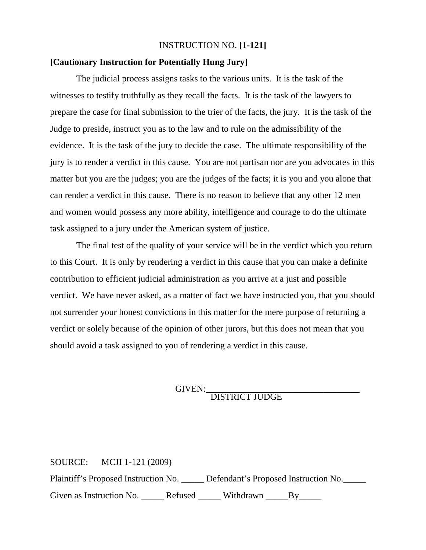### INSTRUCTION NO. **[1-121]**

### **[Cautionary Instruction for Potentially Hung Jury]**

The judicial process assigns tasks to the various units. It is the task of the witnesses to testify truthfully as they recall the facts. It is the task of the lawyers to prepare the case for final submission to the trier of the facts, the jury. It is the task of the Judge to preside, instruct you as to the law and to rule on the admissibility of the evidence. It is the task of the jury to decide the case. The ultimate responsibility of the jury is to render a verdict in this cause. You are not partisan nor are you advocates in this matter but you are the judges; you are the judges of the facts; it is you and you alone that can render a verdict in this cause. There is no reason to believe that any other 12 men and women would possess any more ability, intelligence and courage to do the ultimate task assigned to a jury under the American system of justice.

The final test of the quality of your service will be in the verdict which you return to this Court. It is only by rendering a verdict in this cause that you can make a definite contribution to efficient judicial administration as you arrive at a just and possible verdict. We have never asked, as a matter of fact we have instructed you, that you should not surrender your honest convictions in this matter for the mere purpose of returning a verdict or solely because of the opinion of other jurors, but this does not mean that you should avoid a task assigned to you of rendering a verdict in this cause.

# GIVEN:<br>DISTRICT JUDGE

SOURCE: MCJI 1-121 (2009) Plaintiff's Proposed Instruction No. \_\_\_\_\_ Defendant's Proposed Instruction No.\_\_\_\_\_ Given as Instruction No. \_\_\_\_\_\_ Refused \_\_\_\_\_\_ Withdrawn \_\_\_\_\_By\_\_\_\_\_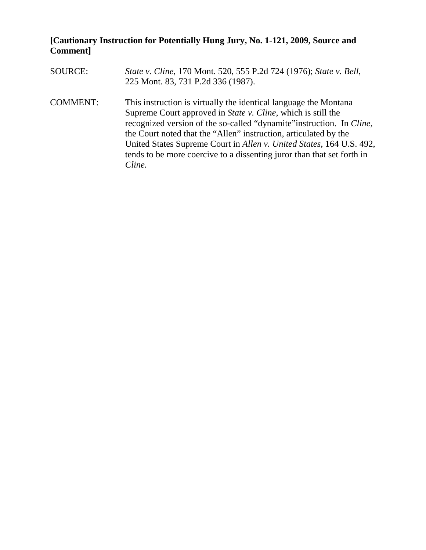### **[Cautionary Instruction for Potentially Hung Jury, No. 1-121, 2009, Source and Comment]**

- SOURCE: *State v. Cline*, 170 Mont. 520, 555 P.2d 724 (1976); *State v. Bell*, 225 Mont. 83, 731 P.2d 336 (1987).
- COMMENT: This instruction is virtually the identical language the Montana Supreme Court approved in *State v. Cline*, which is still the recognized version of the so-called "dynamite"instruction. In *Cline*, the Court noted that the "Allen" instruction, articulated by the United States Supreme Court in *Allen v. United States*, 164 U.S. 492, tends to be more coercive to a dissenting juror than that set forth in *Cline.*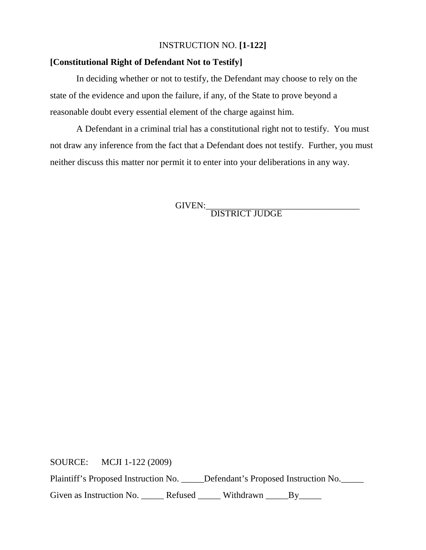### INSTRUCTION NO. **[1-122]**

### **[Constitutional Right of Defendant Not to Testify]**

In deciding whether or not to testify, the Defendant may choose to rely on the state of the evidence and upon the failure, if any, of the State to prove beyond a reasonable doubt every essential element of the charge against him.

A Defendant in a criminal trial has a constitutional right not to testify. You must not draw any inference from the fact that a Defendant does not testify. Further, you must neither discuss this matter nor permit it to enter into your deliberations in any way.

GIVEN: DISTRICT JUDGE

SOURCE: MCJI 1-122 (2009)

Plaintiff's Proposed Instruction No. \_\_\_\_\_Defendant's Proposed Instruction No. \_\_\_\_\_

Given as Instruction No. \_\_\_\_\_\_ Refused \_\_\_\_\_\_ Withdrawn \_\_\_\_\_By\_\_\_\_\_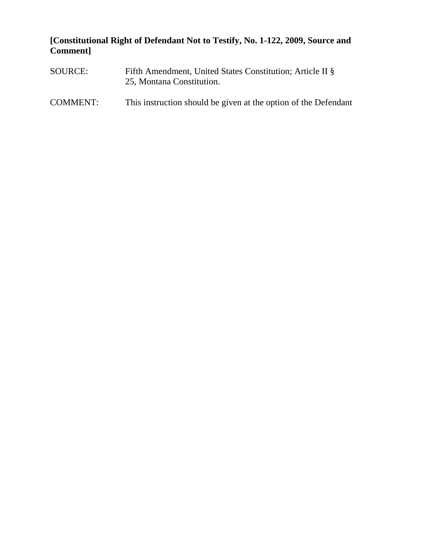### **[Constitutional Right of Defendant Not to Testify, No. 1-122, 2009, Source and Comment]**

- SOURCE: Fifth Amendment, United States Constitution; Article II § 25, Montana Constitution.
- COMMENT: This instruction should be given at the option of the Defendant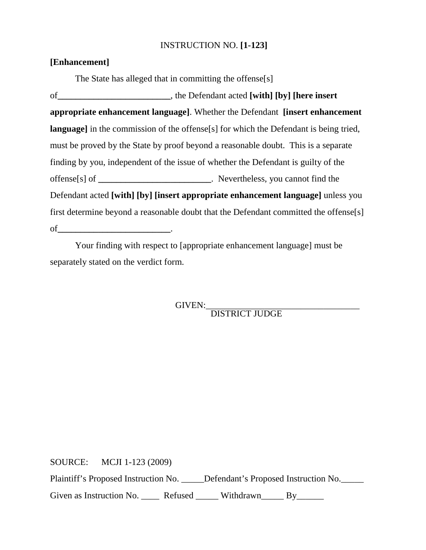### INSTRUCTION NO. **[1-123]**

### **[Enhancement]**

The State has alleged that in committing the offense[s] of**\_\_\_\_\_\_\_\_\_\_\_\_\_\_\_\_\_\_\_\_\_\_\_\_\_**, the Defendant acted **[with] [by] [here insert appropriate enhancement language]**. Whether the Defendant **[insert enhancement language**] in the commission of the offense<sup>[s]</sup> for which the Defendant is being tried, must be proved by the State by proof beyond a reasonable doubt. This is a separate finding by you, independent of the issue of whether the Defendant is guilty of the offense[s] of **\_\_\_\_\_\_\_\_\_\_\_\_\_\_\_\_\_\_\_\_\_\_\_\_\_**. Nevertheless, you cannot find the Defendant acted **[with] [by] [insert appropriate enhancement language]** unless you first determine beyond a reasonable doubt that the Defendant committed the offense[s] of**\_\_\_\_\_\_\_\_\_\_\_\_\_\_\_\_\_\_\_\_\_\_\_\_\_**.

Your finding with respect to [appropriate enhancement language] must be separately stated on the verdict form.

GIVEN:<br>DISTRICT JUDGE

SOURCE: MCJI 1-123 (2009)

Plaintiff's Proposed Instruction No. \_\_\_\_\_Defendant's Proposed Instruction No.

Given as Instruction No. \_\_\_\_\_ Refused \_\_\_\_\_ Withdrawn\_\_\_\_\_ By\_\_\_\_\_\_